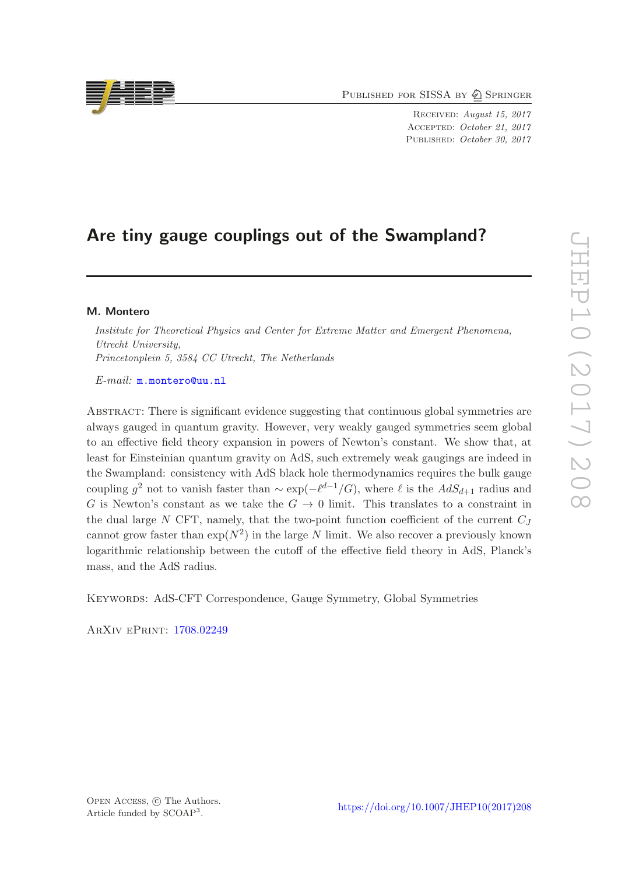PUBLISHED FOR SISSA BY 2 SPRINGER

Received: August 15, 2017 Accepted: October 21, 2017 PUBLISHED: October 30, 2017

# Are tiny gauge couplings out of the Swampland?

#### M. Montero

Institute for Theoretical Physics and Center for Extreme Matter and Emergent Phenomena, Utrecht University, Princetonplein 5, 3584 CC Utrecht, The Netherlands

E-mail: [m.montero@uu.nl](mailto:m.montero@uu.nl)

Abstract: There is significant evidence suggesting that continuous global symmetries are always gauged in quantum gravity. However, very weakly gauged symmetries seem global to an effective field theory expansion in powers of Newton's constant. We show that, at least for Einsteinian quantum gravity on AdS, such extremely weak gaugings are indeed in the Swampland: consistency with AdS black hole thermodynamics requires the bulk gauge coupling  $g^2$  not to vanish faster than  $\sim \exp(-\ell^{d-1}/G)$ , where  $\ell$  is the  $AdS_{d+1}$  radius and G is Newton's constant as we take the  $G \rightarrow 0$  limit. This translates to a constraint in the dual large  $N$  CFT, namely, that the two-point function coefficient of the current  $C_J$ cannot grow faster than  $\exp(N^2)$  in the large N limit. We also recover a previously known logarithmic relationship between the cutoff of the effective field theory in AdS, Planck's mass, and the AdS radius.

Keywords: AdS-CFT Correspondence, Gauge Symmetry, Global Symmetries

ArXiv ePrint: [1708.02249](https://arxiv.org/abs/1708.02249)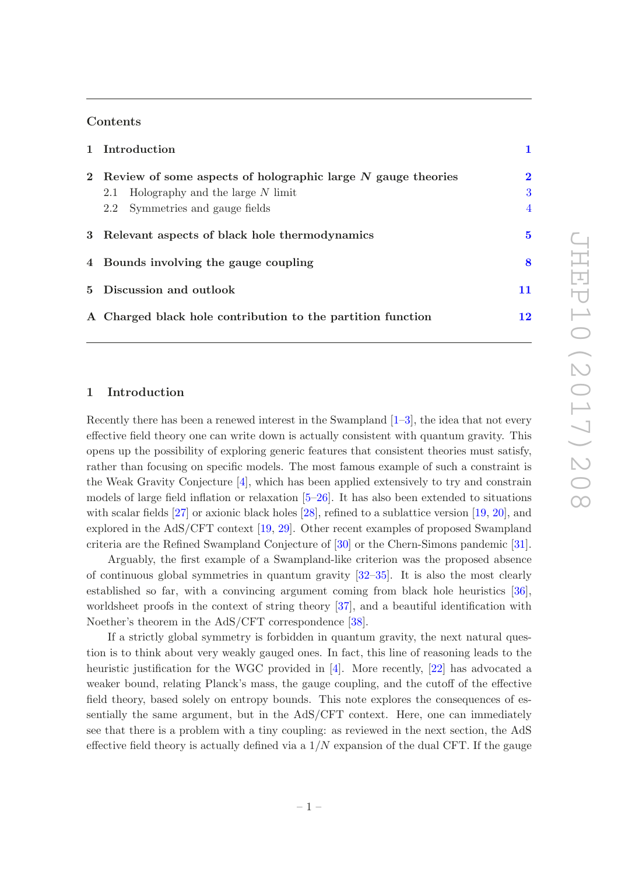# Contents

| 1 Introduction                                                   |          |
|------------------------------------------------------------------|----------|
| 2 Review of some aspects of holographic large $N$ gauge theories | $\bf{2}$ |
| Holography and the large $N$ limit<br>2.1                        | 3        |
| 2.2 Symmetries and gauge fields                                  | 4        |
| 3 Relevant aspects of black hole thermodynamics                  | 5        |
| 4 Bounds involving the gauge coupling                            | 8        |
| 5 Discussion and outlook                                         | 11       |
| A Charged black hole contribution to the partition function      | 12       |

### <span id="page-1-0"></span>1 Introduction

Recently there has been a renewed interest in the Swampland [\[1](#page-14-0)[–3](#page-14-1)], the idea that not every effective field theory one can write down is actually consistent with quantum gravity. This opens up the possibility of exploring generic features that consistent theories must satisfy, rather than focusing on specific models. The most famous example of such a constraint is the Weak Gravity Conjecture [\[4](#page-14-2)], which has been applied extensively to try and constrain models of large field inflation or relaxation [\[5](#page-14-3)[–26\]](#page-15-0). It has also been extended to situations with scalar fields [\[27](#page-15-1)] or axionic black holes [\[28](#page-15-2)], refined to a sublattice version [\[19](#page-15-3), [20](#page-15-4)], and explored in the AdS/CFT context [\[19,](#page-15-3) [29\]](#page-15-5). Other recent examples of proposed Swampland criteria are the Refined Swampland Conjecture of [\[30](#page-16-0)] or the Chern-Simons pandemic [\[31\]](#page-16-1).

Arguably, the first example of a Swampland-like criterion was the proposed absence of continuous global symmetries in quantum gravity [\[32](#page-16-2)[–35](#page-16-3)]. It is also the most clearly established so far, with a convincing argument coming from black hole heuristics [\[36\]](#page-16-4), worldsheet proofs in the context of string theory [\[37](#page-16-5)], and a beautiful identification with Noether's theorem in the AdS/CFT correspondence [\[38\]](#page-16-6).

If a strictly global symmetry is forbidden in quantum gravity, the next natural question is to think about very weakly gauged ones. In fact, this line of reasoning leads to the heuristic justification for the WGC provided in [\[4\]](#page-14-2). More recently, [\[22](#page-15-6)] has advocated a weaker bound, relating Planck's mass, the gauge coupling, and the cutoff of the effective field theory, based solely on entropy bounds. This note explores the consequences of essentially the same argument, but in the AdS/CFT context. Here, one can immediately see that there is a problem with a tiny coupling: as reviewed in the next section, the AdS effective field theory is actually defined via a  $1/N$  expansion of the dual CFT. If the gauge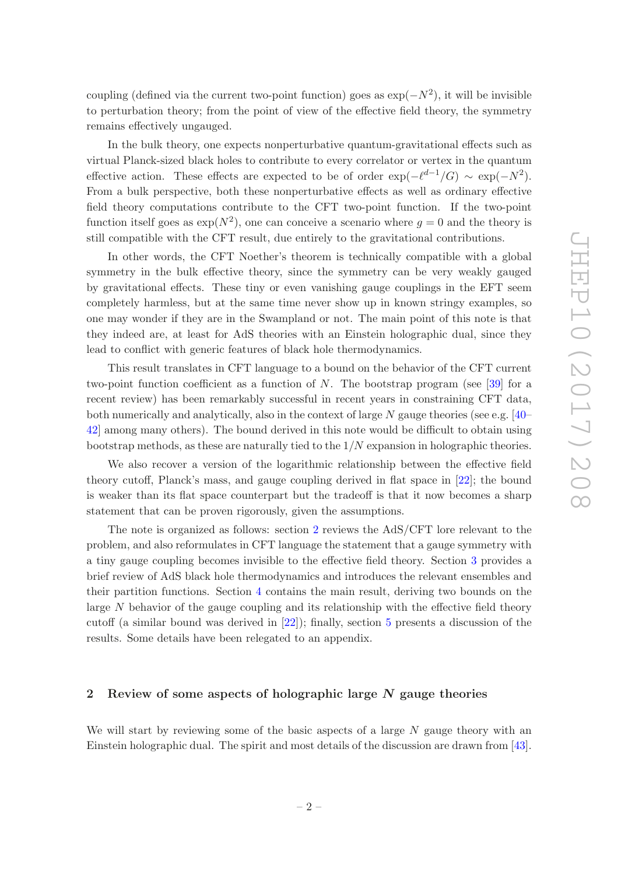coupling (defined via the current two-point function) goes as  $\exp(-N^2)$ , it will be invisible to perturbation theory; from the point of view of the effective field theory, the symmetry remains effectively ungauged.

In the bulk theory, one expects nonperturbative quantum-gravitational effects such as virtual Planck-sized black holes to contribute to every correlator or vertex in the quantum effective action. These effects are expected to be of order  $\exp(-\ell^{d-1}/G) \sim \exp(-N^2)$ . From a bulk perspective, both these nonperturbative effects as well as ordinary effective field theory computations contribute to the CFT two-point function. If the two-point function itself goes as  $\exp(N^2)$ , one can conceive a scenario where  $g=0$  and the theory is still compatible with the CFT result, due entirely to the gravitational contributions.

In other words, the CFT Noether's theorem is technically compatible with a global symmetry in the bulk effective theory, since the symmetry can be very weakly gauged by gravitational effects. These tiny or even vanishing gauge couplings in the EFT seem completely harmless, but at the same time never show up in known stringy examples, so one may wonder if they are in the Swampland or not. The main point of this note is that they indeed are, at least for AdS theories with an Einstein holographic dual, since they lead to conflict with generic features of black hole thermodynamics.

This result translates in CFT language to a bound on the behavior of the CFT current two-point function coefficient as a function of N. The bootstrap program (see [\[39\]](#page-16-7) for a recent review) has been remarkably successful in recent years in constraining CFT data, both numerically and analytically, also in the context of large N gauge theories (see e.g. [\[40](#page-16-8)– [42](#page-16-9)] among many others). The bound derived in this note would be difficult to obtain using bootstrap methods, as these are naturally tied to the 1/N expansion in holographic theories.

We also recover a version of the logarithmic relationship between the effective field theory cutoff, Planck's mass, and gauge coupling derived in flat space in [\[22](#page-15-6)]; the bound is weaker than its flat space counterpart but the tradeoff is that it now becomes a sharp statement that can be proven rigorously, given the assumptions.

The note is organized as follows: section [2](#page-2-0) reviews the AdS/CFT lore relevant to the problem, and also reformulates in CFT language the statement that a gauge symmetry with a tiny gauge coupling becomes invisible to the effective field theory. Section [3](#page-5-0) provides a brief review of AdS black hole thermodynamics and introduces the relevant ensembles and their partition functions. Section [4](#page-8-0) contains the main result, deriving two bounds on the large N behavior of the gauge coupling and its relationship with the effective field theory cutoff (a similar bound was derived in [\[22\]](#page-15-6)); finally, section [5](#page-11-0) presents a discussion of the results. Some details have been relegated to an appendix.

# <span id="page-2-0"></span>2 Review of some aspects of holographic large N gauge theories

We will start by reviewing some of the basic aspects of a large  $N$  gauge theory with an Einstein holographic dual. The spirit and most details of the discussion are drawn from [\[43\]](#page-16-10).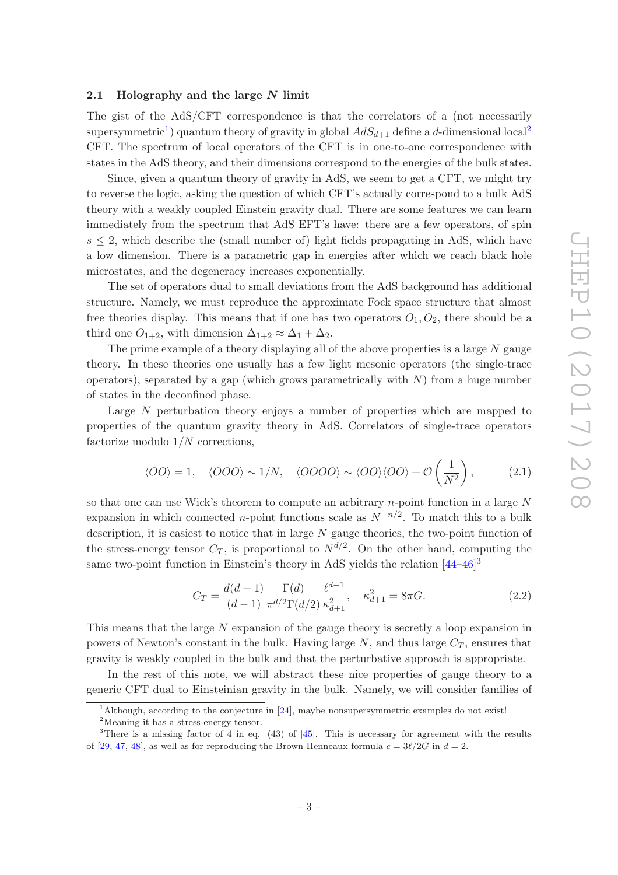#### <span id="page-3-0"></span>2.1 Holography and the large N limit

The gist of the AdS/CFT correspondence is that the correlators of a (not necessarily supersymmetric<sup>[1](#page-3-1)</sup>) quantum theory of gravity in global  $AdS_{d+1}$  define a  $d$ -dimensional local<sup>[2](#page-3-2)</sup> CFT. The spectrum of local operators of the CFT is in one-to-one correspondence with states in the AdS theory, and their dimensions correspond to the energies of the bulk states.

Since, given a quantum theory of gravity in AdS, we seem to get a CFT, we might try to reverse the logic, asking the question of which CFT's actually correspond to a bulk AdS theory with a weakly coupled Einstein gravity dual. There are some features we can learn immediately from the spectrum that AdS EFT's have: there are a few operators, of spin  $s \leq 2$ , which describe the (small number of) light fields propagating in AdS, which have a low dimension. There is a parametric gap in energies after which we reach black hole microstates, and the degeneracy increases exponentially.

The set of operators dual to small deviations from the AdS background has additional structure. Namely, we must reproduce the approximate Fock space structure that almost free theories display. This means that if one has two operators  $O_1, O_2$ , there should be a third one  $O_{1+2}$ , with dimension  $\Delta_{1+2} \approx \Delta_1 + \Delta_2$ .

The prime example of a theory displaying all of the above properties is a large  $N$  gauge theory. In these theories one usually has a few light mesonic operators (the single-trace operators), separated by a gap (which grows parametrically with  $N$ ) from a huge number of states in the deconfined phase.

Large N perturbation theory enjoys a number of properties which are mapped to properties of the quantum gravity theory in AdS. Correlators of single-trace operators factorize modulo  $1/N$  corrections,

<span id="page-3-4"></span>
$$
\langle OO \rangle = 1, \quad \langle OOO \rangle \sim 1/N, \quad \langle OOOO \rangle \sim \langle OO \rangle \langle OO \rangle + \mathcal{O}\left(\frac{1}{N^2}\right), \tag{2.1}
$$

so that one can use Wick's theorem to compute an arbitrary *n*-point function in a large N expansion in which connected *n*-point functions scale as  $N^{-n/2}$ . To match this to a bulk description, it is easiest to notice that in large  $N$  gauge theories, the two-point function of the stress-energy tensor  $C_T$ , is proportional to  $N^{d/2}$ . On the other hand, computing the same two-point function in Einstein's theory in AdS yields the relation  $[44-46]^3$  $[44-46]^3$ 

<span id="page-3-5"></span>
$$
C_T = \frac{d(d+1)}{(d-1)} \frac{\Gamma(d)}{\pi^{d/2} \Gamma(d/2)} \frac{\ell^{d-1}}{\kappa_{d+1}^2}, \quad \kappa_{d+1}^2 = 8\pi G. \tag{2.2}
$$

This means that the large N expansion of the gauge theory is secretly a loop expansion in powers of Newton's constant in the bulk. Having large  $N$ , and thus large  $C_T$ , ensures that gravity is weakly coupled in the bulk and that the perturbative approach is appropriate.

In the rest of this note, we will abstract these nice properties of gauge theory to a generic CFT dual to Einsteinian gravity in the bulk. Namely, we will consider families of

<sup>&</sup>lt;sup>1</sup>Although, according to the conjecture in  $[24]$ , maybe nonsupersymmetric examples do not exist!

<span id="page-3-2"></span><span id="page-3-1"></span> $^2$  Meaning it has a stress-energy tensor.

<span id="page-3-3"></span><sup>&</sup>lt;sup>3</sup>There is a missing factor of 4 in eq.  $(43)$  of  $[45]$ . This is necessary for agreement with the results of [\[29,](#page-15-5) [47](#page-16-14), [48](#page-16-15)], as well as for reproducing the Brown-Henneaux formula  $c = 3\ell/2G$  in  $d = 2$ .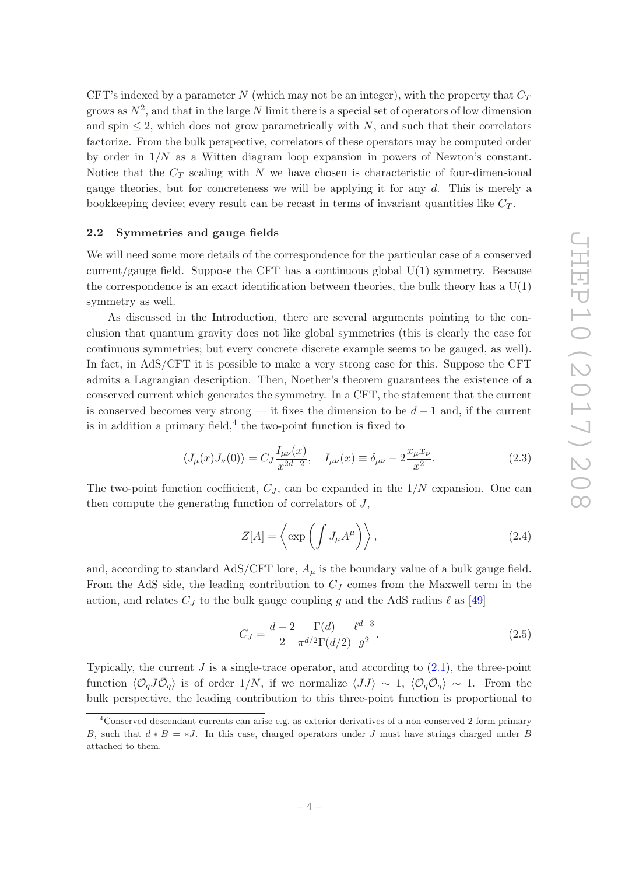CFT's indexed by a parameter N (which may not be an integer), with the property that  $C_T$ grows as  $N^2$ , and that in the large N limit there is a special set of operators of low dimension and spin  $\leq$  2, which does not grow parametrically with N, and such that their correlators factorize. From the bulk perspective, correlators of these operators may be computed order by order in  $1/N$  as a Witten diagram loop expansion in powers of Newton's constant. Notice that the  $C_T$  scaling with N we have chosen is characteristic of four-dimensional gauge theories, but for concreteness we will be applying it for any  $d$ . This is merely a bookkeeping device; every result can be recast in terms of invariant quantities like  $C_T$ .

#### <span id="page-4-0"></span>2.2 Symmetries and gauge fields

We will need some more details of the correspondence for the particular case of a conserved current/gauge field. Suppose the CFT has a continuous global  $U(1)$  symmetry. Because the correspondence is an exact identification between theories, the bulk theory has a  $U(1)$ symmetry as well.

As discussed in the Introduction, there are several arguments pointing to the conclusion that quantum gravity does not like global symmetries (this is clearly the case for continuous symmetries; but every concrete discrete example seems to be gauged, as well). In fact, in AdS/CFT it is possible to make a very strong case for this. Suppose the CFT admits a Lagrangian description. Then, Noether's theorem guarantees the existence of a conserved current which generates the symmetry. In a CFT, the statement that the current is conserved becomes very strong — it fixes the dimension to be  $d-1$  and, if the current is in addition a primary field,  $4$  the two-point function is fixed to

$$
\langle J_{\mu}(x)J_{\nu}(0)\rangle = C_{J}\frac{I_{\mu\nu}(x)}{x^{2d-2}}, \quad I_{\mu\nu}(x) \equiv \delta_{\mu\nu} - 2\frac{x_{\mu}x_{\nu}}{x^{2}}.
$$
\n(2.3)

The two-point function coefficient,  $C_J$ , can be expanded in the  $1/N$  expansion. One can then compute the generating function of correlators of J,

$$
Z[A] = \left\langle \exp\left(\int J_{\mu} A^{\mu}\right) \right\rangle, \tag{2.4}
$$

and, according to standard AdS/CFT lore,  $A_\mu$  is the boundary value of a bulk gauge field. From the AdS side, the leading contribution to  $C_J$  comes from the Maxwell term in the action, and relates  $C_J$  to the bulk gauge coupling g and the AdS radius  $\ell$  as [\[49\]](#page-16-16)

$$
C_J = \frac{d-2}{2} \frac{\Gamma(d)}{\pi^{d/2} \Gamma(d/2)} \frac{\ell^{d-3}}{g^2}.
$$
\n(2.5)

Typically, the current  $J$  is a single-trace operator, and according to  $(2.1)$ , the three-point function  $\langle \mathcal{O}_q J \bar{\mathcal{O}}_q \rangle$  is of order 1/N, if we normalize  $\langle JJ \rangle \sim 1$ ,  $\langle \mathcal{O}_q \bar{\mathcal{O}}_q \rangle \sim 1$ . From the bulk perspective, the leading contribution to this three-point function is proportional to

<span id="page-4-1"></span><sup>4</sup>Conserved descendant currents can arise e.g. as exterior derivatives of a non-conserved 2-form primary B, such that  $d * B = *J$ . In this case, charged operators under J must have strings charged under B attached to them.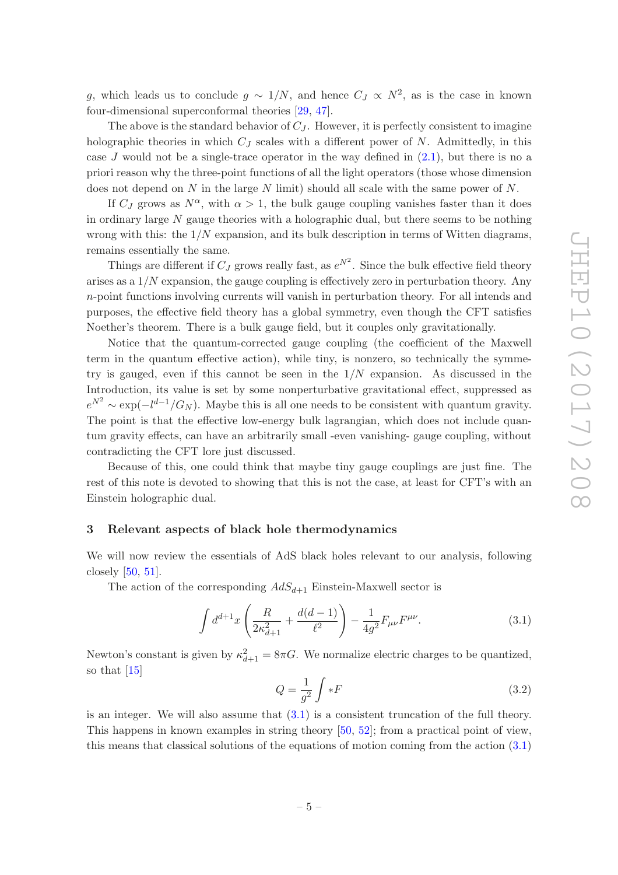g, which leads us to conclude  $g \sim 1/N$ , and hence  $C_J \propto N^2$ , as is the case in known four-dimensional superconformal theories [\[29](#page-15-5), [47\]](#page-16-14).

The above is the standard behavior of  $C_J$ . However, it is perfectly consistent to imagine holographic theories in which  $C_J$  scales with a different power of N. Admittedly, in this case J would not be a single-trace operator in the way defined in  $(2.1)$ , but there is no a priori reason why the three-point functions of all the light operators (those whose dimension does not depend on  $N$  in the large  $N$  limit) should all scale with the same power of  $N$ .

If  $C_J$  grows as  $N^{\alpha}$ , with  $\alpha > 1$ , the bulk gauge coupling vanishes faster than it does in ordinary large  $N$  gauge theories with a holographic dual, but there seems to be nothing wrong with this: the  $1/N$  expansion, and its bulk description in terms of Witten diagrams, remains essentially the same.

Things are different if  $C_J$  grows really fast, as  $e^{N^2}$ . Since the bulk effective field theory arises as a  $1/N$  expansion, the gauge coupling is effectively zero in perturbation theory. Any n-point functions involving currents will vanish in perturbation theory. For all intends and purposes, the effective field theory has a global symmetry, even though the CFT satisfies Noether's theorem. There is a bulk gauge field, but it couples only gravitationally.

Notice that the quantum-corrected gauge coupling (the coefficient of the Maxwell term in the quantum effective action), while tiny, is nonzero, so technically the symmetry is gauged, even if this cannot be seen in the  $1/N$  expansion. As discussed in the Introduction, its value is set by some nonperturbative gravitational effect, suppressed as  $e^{N^2} \sim \exp(-l^{d-1}/G_N)$ . Maybe this is all one needs to be consistent with quantum gravity. The point is that the effective low-energy bulk lagrangian, which does not include quantum gravity effects, can have an arbitrarily small -even vanishing- gauge coupling, without contradicting the CFT lore just discussed.

Because of this, one could think that maybe tiny gauge couplings are just fine. The rest of this note is devoted to showing that this is not the case, at least for CFT's with an Einstein holographic dual.

#### <span id="page-5-0"></span>3 Relevant aspects of black hole thermodynamics

We will now review the essentials of AdS black holes relevant to our analysis, following closely [\[50](#page-17-0), [51\]](#page-17-1).

The action of the corresponding  $AdS_{d+1}$  Einstein-Maxwell sector is

<span id="page-5-1"></span>
$$
\int d^{d+1}x \left( \frac{R}{2\kappa_{d+1}^2} + \frac{d(d-1)}{\ell^2} \right) - \frac{1}{4g^2} F_{\mu\nu} F^{\mu\nu}.
$$
 (3.1)

Newton's constant is given by  $\kappa_{d+1}^2 = 8\pi G$ . We normalize electric charges to be quantized, so that [\[15](#page-15-8)]

$$
Q = \frac{1}{g^2} \int *F \tag{3.2}
$$

is an integer. We will also assume that  $(3.1)$  is a consistent truncation of the full theory. This happens in known examples in string theory [\[50](#page-17-0), [52](#page-17-2)]; from a practical point of view, this means that classical solutions of the equations of motion coming from the action [\(3.1\)](#page-5-1)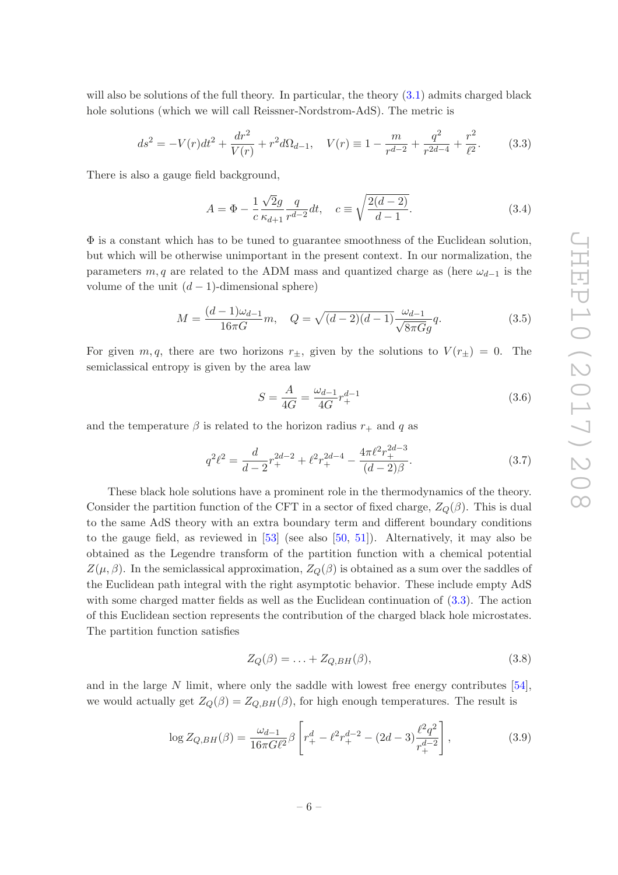will also be solutions of the full theory. In particular, the theory  $(3.1)$  admits charged black hole solutions (which we will call Reissner-Nordstrom-AdS). The metric is

<span id="page-6-0"></span>
$$
ds^{2} = -V(r)dt^{2} + \frac{dr^{2}}{V(r)} + r^{2}d\Omega_{d-1}, \quad V(r) \equiv 1 - \frac{m}{r^{d-2}} + \frac{q^{2}}{r^{2d-4}} + \frac{r^{2}}{\ell^{2}}.
$$
 (3.3)

There is also a gauge field background,

$$
A = \Phi - \frac{1}{c} \frac{\sqrt{2}g}{\kappa_{d+1}} \frac{q}{r^{d-2}} dt, \quad c \equiv \sqrt{\frac{2(d-2)}{d-1}}.
$$
 (3.4)

 $\Phi$  is a constant which has to be tuned to guarantee smoothness of the Euclidean solution, but which will be otherwise unimportant in the present context. In our normalization, the parameters  $m, q$  are related to the ADM mass and quantized charge as (here  $\omega_{d-1}$  is the volume of the unit  $(d-1)$ -dimensional sphere)

<span id="page-6-1"></span>
$$
M = \frac{(d-1)\omega_{d-1}}{16\pi G}m, \quad Q = \sqrt{(d-2)(d-1)}\frac{\omega_{d-1}}{\sqrt{8\pi G}g}q.
$$
 (3.5)

For given  $m, q$ , there are two horizons  $r_{\pm}$ , given by the solutions to  $V(r_{\pm}) = 0$ . The semiclassical entropy is given by the area law

<span id="page-6-2"></span>
$$
S = \frac{A}{4G} = \frac{\omega_{d-1}}{4G} r_+^{d-1}
$$
\n(3.6)

and the temperature  $\beta$  is related to the horizon radius  $r_+$  and q as

<span id="page-6-5"></span>
$$
q^{2}\ell^{2} = \frac{d}{d-2}r_{+}^{2d-2} + \ell^{2}r_{+}^{2d-4} - \frac{4\pi\ell^{2}r_{+}^{2d-3}}{(d-2)\beta}.
$$
\n(3.7)

These black hole solutions have a prominent role in the thermodynamics of the theory. Consider the partition function of the CFT in a sector of fixed charge,  $Z_{Q}(\beta)$ . This is dual to the same AdS theory with an extra boundary term and different boundary conditions to the gauge field, as reviewed in  $[53]$  (see also  $[50, 51]$  $[50, 51]$ ). Alternatively, it may also be obtained as the Legendre transform of the partition function with a chemical potential  $Z(\mu, \beta)$ . In the semiclassical approximation,  $Z_Q(\beta)$  is obtained as a sum over the saddles of the Euclidean path integral with the right asymptotic behavior. These include empty AdS with some charged matter fields as well as the Euclidean continuation of [\(3.3\)](#page-6-0). The action of this Euclidean section represents the contribution of the charged black hole microstates. The partition function satisfies

<span id="page-6-3"></span>
$$
Z_Q(\beta) = \ldots + Z_{Q,BH}(\beta),\tag{3.8}
$$

and in the large  $N$  limit, where only the saddle with lowest free energy contributes  $[54]$ , we would actually get  $Z_Q(\beta) = Z_{Q, BH}(\beta)$ , for high enough temperatures. The result is

<span id="page-6-4"></span>
$$
\log Z_{Q, BH}(\beta) = \frac{\omega_{d-1}}{16\pi G \ell^2} \beta \left[ r_+^d - \ell^2 r_+^{d-2} - (2d-3) \frac{\ell^2 q^2}{r_+^{d-2}} \right],\tag{3.9}
$$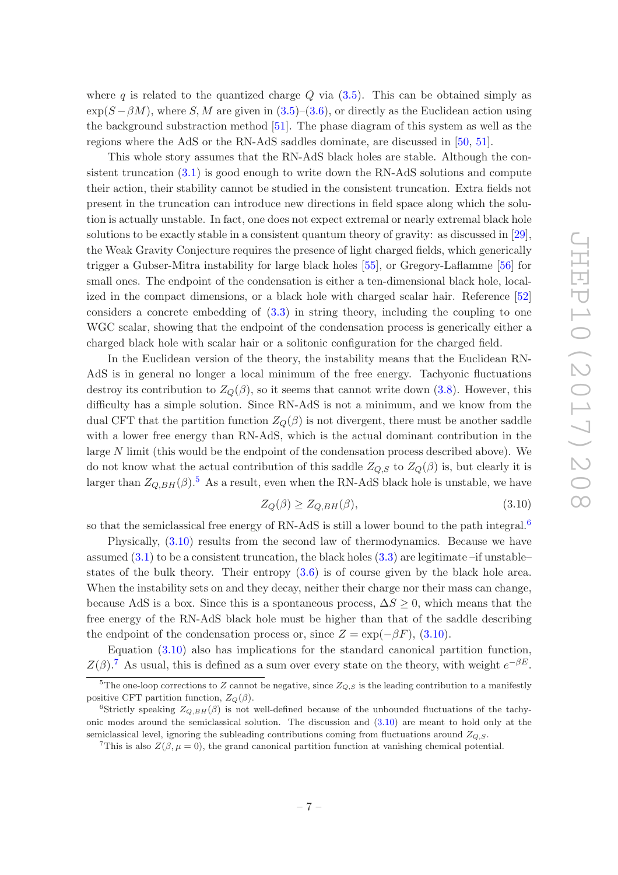where q is related to the quantized charge  $Q$  via  $(3.5)$ . This can be obtained simply as  $\exp(S - \beta M)$ , where S, M are given in [\(3.5\)](#page-6-1)–[\(3.6\)](#page-6-2), or directly as the Euclidean action using the background substraction method [\[51](#page-17-1)]. The phase diagram of this system as well as the regions where the AdS or the RN-AdS saddles dominate, are discussed in [\[50,](#page-17-0) [51](#page-17-1)].

This whole story assumes that the RN-AdS black holes are stable. Although the consistent truncation [\(3.1\)](#page-5-1) is good enough to write down the RN-AdS solutions and compute their action, their stability cannot be studied in the consistent truncation. Extra fields not present in the truncation can introduce new directions in field space along which the solution is actually unstable. In fact, one does not expect extremal or nearly extremal black hole solutions to be exactly stable in a consistent quantum theory of gravity: as discussed in [\[29\]](#page-15-5), the Weak Gravity Conjecture requires the presence of light charged fields, which generically trigger a Gubser-Mitra instability for large black holes [\[55\]](#page-17-5), or Gregory-Laflamme [\[56](#page-17-6)] for small ones. The endpoint of the condensation is either a ten-dimensional black hole, localized in the compact dimensions, or a black hole with charged scalar hair. Reference [\[52\]](#page-17-2) considers a concrete embedding of [\(3.3\)](#page-6-0) in string theory, including the coupling to one WGC scalar, showing that the endpoint of the condensation process is generically either a charged black hole with scalar hair or a solitonic configuration for the charged field.

In the Euclidean version of the theory, the instability means that the Euclidean RN-AdS is in general no longer a local minimum of the free energy. Tachyonic fluctuations destroy its contribution to  $Z_{\mathcal{Q}}(\beta)$ , so it seems that cannot write down [\(3.8\)](#page-6-3). However, this difficulty has a simple solution. Since RN-AdS is not a minimum, and we know from the dual CFT that the partition function  $Z_{Q}(\beta)$  is not divergent, there must be another saddle with a lower free energy than RN-AdS, which is the actual dominant contribution in the large N limit (this would be the endpoint of the condensation process described above). We do not know what the actual contribution of this saddle  $Z_{Q,S}$  to  $Z_{Q}(\beta)$  is, but clearly it is larger than  $Z_{O,BH}(\beta)$ .<sup>[5](#page-7-0)</sup> As a result, even when the RN-AdS black hole is unstable, we have

<span id="page-7-2"></span>
$$
Z_Q(\beta) \ge Z_{Q,BH}(\beta),\tag{3.10}
$$

so that the semiclassical free energy of RN-AdS is still a lower bound to the path integral.<sup>[6](#page-7-1)</sup>

Physically, [\(3.10\)](#page-7-2) results from the second law of thermodynamics. Because we have assumed  $(3.1)$  to be a consistent truncation, the black holes  $(3.3)$  are legitimate –if unstable– states of the bulk theory. Their entropy  $(3.6)$  is of course given by the black hole area. When the instability sets on and they decay, neither their charge nor their mass can change, because AdS is a box. Since this is a spontaneous process,  $\Delta S \geq 0$ , which means that the free energy of the RN-AdS black hole must be higher than that of the saddle describing the endpoint of the condensation process or, since  $Z = \exp(-\beta F)$ , [\(3.10\)](#page-7-2).

Equation [\(3.10\)](#page-7-2) also has implications for the standard canonical partition function,  $Z(\beta)$ .<sup>[7](#page-7-3)</sup> As usual, this is defined as a sum over every state on the theory, with weight  $e^{-\beta E}$ .

<span id="page-7-0"></span><sup>&</sup>lt;sup>5</sup>The one-loop corrections to Z cannot be negative, since  $Z_{Q,S}$  is the leading contribution to a manifestly positive CFT partition function,  $Z_{Q}(\beta)$ .

<span id="page-7-1"></span><sup>&</sup>lt;sup>6</sup>Strictly speaking  $Z_{Q, BH}(\beta)$  is not well-defined because of the unbounded fluctuations of the tachyonic modes around the semiclassical solution. The discussion and [\(3.10\)](#page-7-2) are meant to hold only at the semiclassical level, ignoring the subleading contributions coming from fluctuations around  $Z_{Q,S}$ .

<span id="page-7-3"></span><sup>&</sup>lt;sup>7</sup>This is also  $Z(\beta, \mu = 0)$ , the grand canonical partition function at vanishing chemical potential.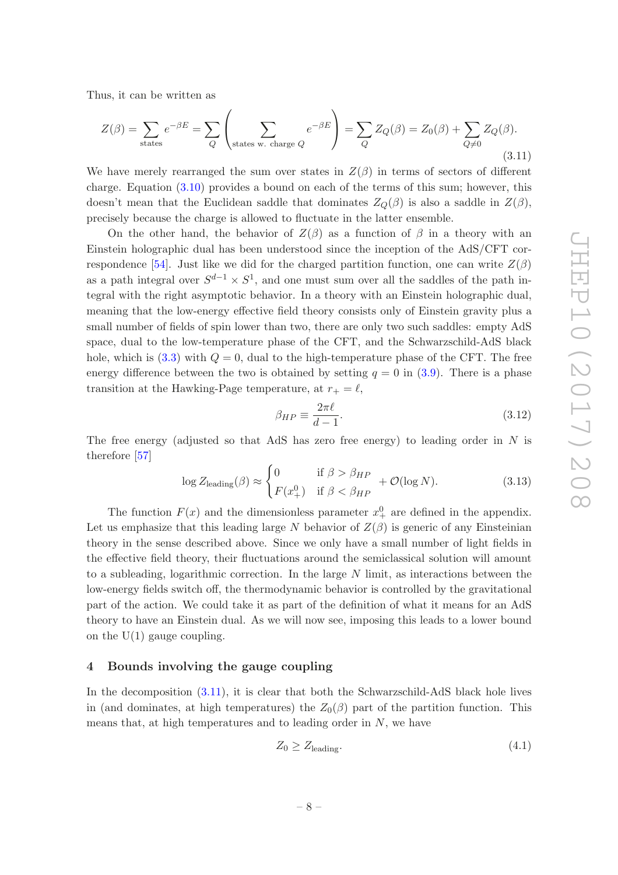Thus, it can be written as

<span id="page-8-1"></span>
$$
Z(\beta) = \sum_{\text{states}} e^{-\beta E} = \sum_{Q} \left( \sum_{\text{states w. charge } Q} e^{-\beta E} \right) = \sum_{Q} Z_Q(\beta) = Z_0(\beta) + \sum_{Q \neq 0} Z_Q(\beta). \tag{3.11}
$$

We have merely rearranged the sum over states in  $Z(\beta)$  in terms of sectors of different charge. Equation [\(3.10\)](#page-7-2) provides a bound on each of the terms of this sum; however, this doesn't mean that the Euclidean saddle that dominates  $Z_{\mathcal{O}}(\beta)$  is also a saddle in  $Z(\beta)$ , precisely because the charge is allowed to fluctuate in the latter ensemble.

On the other hand, the behavior of  $Z(\beta)$  as a function of  $\beta$  in a theory with an Einstein holographic dual has been understood since the inception of the AdS/CFT cor-respondence [\[54](#page-17-4)]. Just like we did for the charged partition function, one can write  $Z(\beta)$ as a path integral over  $S^{d-1} \times S^1$ , and one must sum over all the saddles of the path integral with the right asymptotic behavior. In a theory with an Einstein holographic dual, meaning that the low-energy effective field theory consists only of Einstein gravity plus a small number of fields of spin lower than two, there are only two such saddles: empty AdS space, dual to the low-temperature phase of the CFT, and the Schwarzschild-AdS black hole, which is  $(3.3)$  with  $Q = 0$ , dual to the high-temperature phase of the CFT. The free energy difference between the two is obtained by setting  $q = 0$  in [\(3.9\)](#page-6-4). There is a phase transition at the Hawking-Page temperature, at  $r_{+} = \ell$ ,

<span id="page-8-3"></span>
$$
\beta_{HP} \equiv \frac{2\pi\ell}{d-1}.\tag{3.12}
$$

The free energy (adjusted so that AdS has zero free energy) to leading order in  $N$  is therefore [\[57](#page-17-7)]

<span id="page-8-2"></span>
$$
\log Z_{\text{leading}}(\beta) \approx \begin{cases} 0 & \text{if } \beta > \beta_{HP} \\ F(x_+^0) & \text{if } \beta < \beta_{HP} \end{cases} + \mathcal{O}(\log N). \tag{3.13}
$$

The function  $F(x)$  and the dimensionless parameter  $x_+^0$  are defined in the appendix. Let us emphasize that this leading large N behavior of  $Z(\beta)$  is generic of any Einsteinian theory in the sense described above. Since we only have a small number of light fields in the effective field theory, their fluctuations around the semiclassical solution will amount to a subleading, logarithmic correction. In the large N limit, as interactions between the low-energy fields switch off, the thermodynamic behavior is controlled by the gravitational part of the action. We could take it as part of the definition of what it means for an AdS theory to have an Einstein dual. As we will now see, imposing this leads to a lower bound on the  $U(1)$  gauge coupling.

#### <span id="page-8-0"></span>4 Bounds involving the gauge coupling

In the decomposition [\(3.11\)](#page-8-1), it is clear that both the Schwarzschild-AdS black hole lives in (and dominates, at high temperatures) the  $Z_0(\beta)$  part of the partition function. This means that, at high temperatures and to leading order in N, we have

$$
Z_0 \ge Z_{\text{leading}}.\tag{4.1}
$$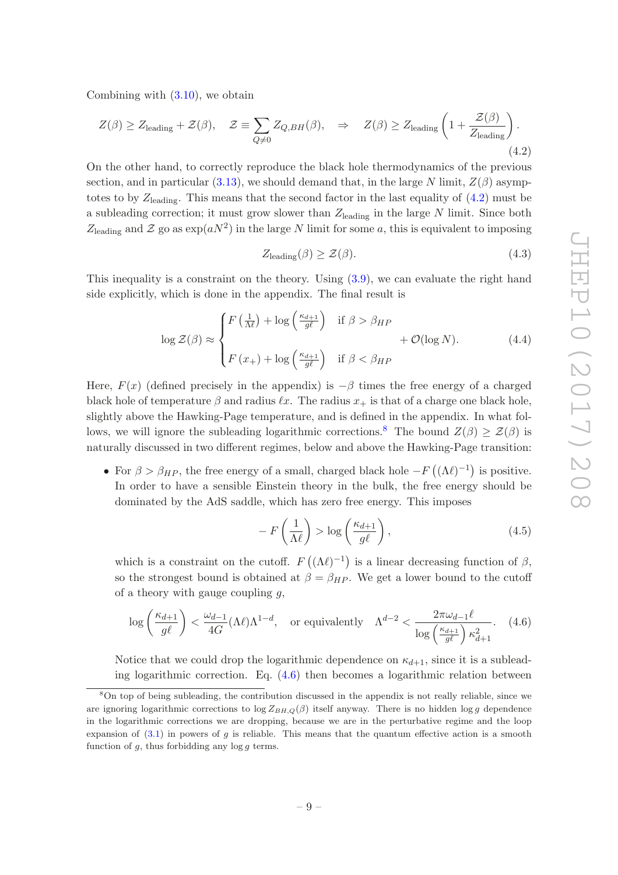Combining with  $(3.10)$ , we obtain

<span id="page-9-0"></span>
$$
Z(\beta) \ge Z_{\text{leading}} + \mathcal{Z}(\beta), \quad \mathcal{Z} \equiv \sum_{Q \neq 0} Z_{Q,BH}(\beta), \quad \Rightarrow \quad Z(\beta) \ge Z_{\text{leading}} \left(1 + \frac{\mathcal{Z}(\beta)}{Z_{\text{leading}}}\right).
$$
\n(4.2)

On the other hand, to correctly reproduce the black hole thermodynamics of the previous section, and in particular [\(3.13\)](#page-8-2), we should demand that, in the large N limit,  $Z(\beta)$  asymptotes to by  $Z_{\text{leading}}$ . This means that the second factor in the last equality of  $(4.2)$  must be a subleading correction; it must grow slower than  $Z_{\text{leading}}$  in the large N limit. Since both  $Z_{\text{leading}}$  and  $Z$  go as  $\exp(aN^2)$  in the large N limit for some a, this is equivalent to imposing

$$
Z_{\text{leading}}(\beta) \ge \mathcal{Z}(\beta). \tag{4.3}
$$

This inequality is a constraint on the theory. Using [\(3.9\)](#page-6-4), we can evaluate the right hand side explicitly, which is done in the appendix. The final result is

<span id="page-9-3"></span>
$$
\log \mathcal{Z}(\beta) \approx \begin{cases} F\left(\frac{1}{\Lambda \ell}\right) + \log \left(\frac{\kappa_{d+1}}{g\ell}\right) & \text{if } \beta > \beta_{HP} \\ + \mathcal{O}(\log N). \end{cases} \tag{4.4}
$$
  

$$
F(x_{+}) + \log \left(\frac{\kappa_{d+1}}{g\ell}\right) & \text{if } \beta < \beta_{HP}
$$

Here,  $F(x)$  (defined precisely in the appendix) is  $-\beta$  times the free energy of a charged black hole of temperature  $\beta$  and radius  $\ell x$ . The radius  $x_+$  is that of a charge one black hole, slightly above the Hawking-Page temperature, and is defined in the appendix. In what fol-lows, we will ignore the subleading logarithmic corrections.<sup>[8](#page-9-1)</sup> The bound  $Z(\beta) \geq Z(\beta)$  is naturally discussed in two different regimes, below and above the Hawking-Page transition:

• For  $\beta > \beta_{HP}$ , the free energy of a small, charged black hole  $-F((\Lambda \ell)^{-1})$  is positive. In order to have a sensible Einstein theory in the bulk, the free energy should be dominated by the AdS saddle, which has zero free energy. This imposes

$$
-F\left(\frac{1}{\Lambda\ell}\right) > \log\left(\frac{\kappa_{d+1}}{g\ell}\right),\tag{4.5}
$$

which is a constraint on the cutoff.  $F((\Lambda \ell)^{-1})$  is a linear decreasing function of  $\beta$ , so the strongest bound is obtained at  $\beta = \beta_{HP}$ . We get a lower bound to the cutoff of a theory with gauge coupling  $q$ ,

<span id="page-9-2"></span>
$$
\log\left(\frac{\kappa_{d+1}}{g\ell}\right) < \frac{\omega_{d-1}}{4G} (\Lambda \ell) \Lambda^{1-d}, \quad \text{or equivalently} \quad \Lambda^{d-2} < \frac{2\pi\omega_{d-1}\ell}{\log\left(\frac{\kappa_{d+1}}{g\ell}\right) \kappa_{d+1}^2}.\tag{4.6}
$$

Notice that we could drop the logarithmic dependence on  $\kappa_{d+1}$ , since it is a subleading logarithmic correction. Eq. [\(4.6\)](#page-9-2) then becomes a logarithmic relation between

<span id="page-9-1"></span><sup>8</sup>On top of being subleading, the contribution discussed in the appendix is not really reliable, since we are ignoring logarithmic corrections to  $\log Z_{BH,Q}(\beta)$  itself anyway. There is no hidden log g dependence in the logarithmic corrections we are dropping, because we are in the perturbative regime and the loop expansion of  $(3.1)$  in powers of g is reliable. This means that the quantum effective action is a smooth function of  $g$ , thus forbidding any  $\log g$  terms.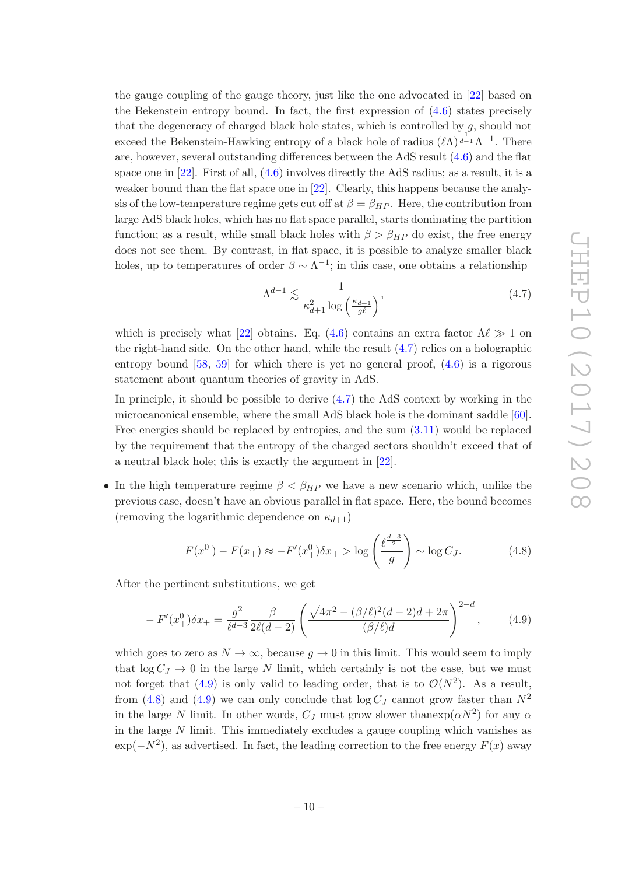the gauge coupling of the gauge theory, just like the one advocated in [\[22](#page-15-6)] based on the Bekenstein entropy bound. In fact, the first expression of  $(4.6)$  states precisely that the degeneracy of charged black hole states, which is controlled by g, should not exceed the Bekenstein-Hawking entropy of a black hole of radius  $(\ell \Lambda)^{\frac{1}{d-1}} \Lambda^{-1}$ . There are, however, several outstanding differences between the AdS result [\(4.6\)](#page-9-2) and the flat space one in  $[22]$ . First of all,  $(4.6)$  involves directly the AdS radius; as a result, it is a weaker bound than the flat space one in [\[22\]](#page-15-6). Clearly, this happens because the analysis of the low-temperature regime gets cut off at  $\beta = \beta_{HP}$ . Here, the contribution from large AdS black holes, which has no flat space parallel, starts dominating the partition function; as a result, while small black holes with  $\beta > \beta_{HP}$  do exist, the free energy does not see them. By contrast, in flat space, it is possible to analyze smaller black holes, up to temperatures of order  $\beta \sim \Lambda^{-1}$ ; in this case, one obtains a relationship

<span id="page-10-0"></span>
$$
\Lambda^{d-1} \lesssim \frac{1}{\kappa_{d+1}^2 \log\left(\frac{\kappa_{d+1}}{g\ell}\right)},\tag{4.7}
$$

which is precisely what [\[22](#page-15-6)] obtains. Eq. [\(4.6\)](#page-9-2) contains an extra factor  $\Lambda \ell \gg 1$  on the right-hand side. On the other hand, while the result [\(4.7\)](#page-10-0) relies on a holographic entropy bound  $[58, 59]$  $[58, 59]$  for which there is yet no general proof,  $(4.6)$  is a rigorous statement about quantum theories of gravity in AdS.

In principle, it should be possible to derive [\(4.7\)](#page-10-0) the AdS context by working in the microcanonical ensemble, where the small AdS black hole is the dominant saddle [\[60\]](#page-17-10). Free energies should be replaced by entropies, and the sum [\(3.11\)](#page-8-1) would be replaced by the requirement that the entropy of the charged sectors shouldn't exceed that of a neutral black hole; this is exactly the argument in [\[22\]](#page-15-6).

• In the high temperature regime  $\beta < \beta_{HP}$  we have a new scenario which, unlike the previous case, doesn't have an obvious parallel in flat space. Here, the bound becomes (removing the logarithmic dependence on  $\kappa_{d+1}$ )

<span id="page-10-2"></span>
$$
F(x_+^0) - F(x_+) \approx -F'(x_+^0)\delta x_+ > \log\left(\frac{\ell^{\frac{d-3}{2}}}{g}\right) \sim \log C_J.
$$
 (4.8)

After the pertinent substitutions, we get

<span id="page-10-1"></span>
$$
-F'(x_{+}^{0})\delta x_{+} = \frac{g^{2}}{\ell^{d-3}} \frac{\beta}{2\ell(d-2)} \left(\frac{\sqrt{4\pi^{2} - (\beta/\ell)^{2}(d-2)d} + 2\pi}{(\beta/\ell)d}\right)^{2-d}, \quad (4.9)
$$

which goes to zero as  $N \to \infty$ , because  $g \to 0$  in this limit. This would seem to imply that  $\log C_J \to 0$  in the large N limit, which certainly is not the case, but we must not forget that [\(4.9\)](#page-10-1) is only valid to leading order, that is to  $\mathcal{O}(N^2)$ . As a result, from [\(4.8\)](#page-10-2) and [\(4.9\)](#page-10-1) we can only conclude that  $\log C_J$  cannot grow faster than  $N^2$ in the large N limit. In other words,  $C_J$  must grow slower than  $\exp(\alpha N^2)$  for any  $\alpha$ in the large  $N$  limit. This immediately excludes a gauge coupling which vanishes as  $\exp(-N^2)$ , as advertised. In fact, the leading correction to the free energy  $F(x)$  away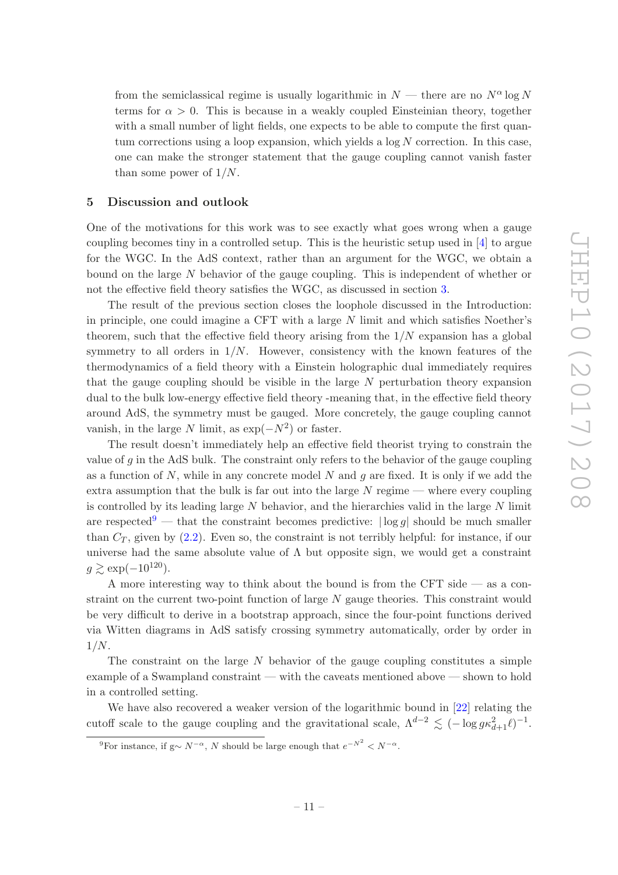from the semiclassical regime is usually logarithmic in  $N$  — there are no  $N^{\alpha} \log N$ terms for  $\alpha > 0$ . This is because in a weakly coupled Einsteinian theory, together with a small number of light fields, one expects to be able to compute the first quantum corrections using a loop expansion, which yields a  $log N$  correction. In this case, one can make the stronger statement that the gauge coupling cannot vanish faster than some power of  $1/N$ .

#### <span id="page-11-0"></span>5 Discussion and outlook

One of the motivations for this work was to see exactly what goes wrong when a gauge coupling becomes tiny in a controlled setup. This is the heuristic setup used in [\[4\]](#page-14-2) to argue for the WGC. In the AdS context, rather than an argument for the WGC, we obtain a bound on the large N behavior of the gauge coupling. This is independent of whether or not the effective field theory satisfies the WGC, as discussed in section [3.](#page-5-0)

The result of the previous section closes the loophole discussed in the Introduction: in principle, one could imagine a CFT with a large  $N$  limit and which satisfies Noether's theorem, such that the effective field theory arising from the  $1/N$  expansion has a global symmetry to all orders in  $1/N$ . However, consistency with the known features of the thermodynamics of a field theory with a Einstein holographic dual immediately requires that the gauge coupling should be visible in the large  $N$  perturbation theory expansion dual to the bulk low-energy effective field theory -meaning that, in the effective field theory around AdS, the symmetry must be gauged. More concretely, the gauge coupling cannot vanish, in the large  $N$  limit, as  $\exp(-N^2)$  or faster.

The result doesn't immediately help an effective field theorist trying to constrain the value of  $g$  in the AdS bulk. The constraint only refers to the behavior of the gauge coupling as a function of  $N$ , while in any concrete model  $N$  and  $q$  are fixed. It is only if we add the extra assumption that the bulk is far out into the large  $N$  regime — where every coupling is controlled by its leading large  $N$  behavior, and the hierarchies valid in the large  $N$  limit are respected<sup>[9](#page-11-1)</sup> — that the constraint becomes predictive:  $|\log q|$  should be much smaller than  $C_T$ , given by  $(2.2)$ . Even so, the constraint is not terribly helpful: for instance, if our universe had the same absolute value of  $\Lambda$  but opposite sign, we would get a constraint  $q \ge \exp(-10^{120}).$ 

A more interesting way to think about the bound is from the CFT side — as a constraint on the current two-point function of large N gauge theories. This constraint would be very difficult to derive in a bootstrap approach, since the four-point functions derived via Witten diagrams in AdS satisfy crossing symmetry automatically, order by order in  $1/N$ .

The constraint on the large  $N$  behavior of the gauge coupling constitutes a simple example of a Swampland constraint — with the caveats mentioned above — shown to hold in a controlled setting.

We have also recovered a weaker version of the logarithmic bound in [\[22\]](#page-15-6) relating the cutoff scale to the gauge coupling and the gravitational scale,  $\Lambda^{d-2} \lesssim (-\log g \kappa_{d+1}^2 \ell)^{-1}$ .

<span id="page-11-1"></span><sup>&</sup>lt;sup>9</sup>For instance, if g~  $N^{-\alpha}$ , N should be large enough that  $e^{-N^2} < N^{-\alpha}$ .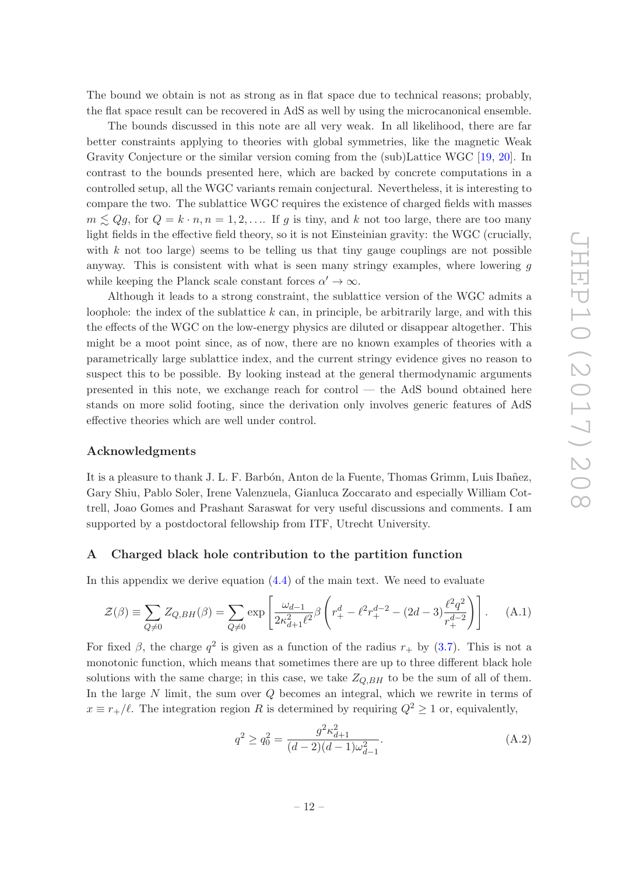The bound we obtain is not as strong as in flat space due to technical reasons; probably, the flat space result can be recovered in AdS as well by using the microcanonical ensemble.

The bounds discussed in this note are all very weak. In all likelihood, there are far better constraints applying to theories with global symmetries, like the magnetic Weak Gravity Conjecture or the similar version coming from the (sub)Lattice WGC [\[19](#page-15-3), [20\]](#page-15-4). In contrast to the bounds presented here, which are backed by concrete computations in a controlled setup, all the WGC variants remain conjectural. Nevertheless, it is interesting to compare the two. The sublattice WGC requires the existence of charged fields with masses  $m \lesssim Qg$ , for  $Q = k \cdot n, n = 1, 2, \ldots$  If g is tiny, and k not too large, there are too many light fields in the effective field theory, so it is not Einsteinian gravity: the WGC (crucially, with k not too large) seems to be telling us that tiny gauge couplings are not possible anyway. This is consistent with what is seen many stringy examples, where lowering g while keeping the Planck scale constant forces  $\alpha' \to \infty$ .

Although it leads to a strong constraint, the sublattice version of the WGC admits a loophole: the index of the sublattice  $k$  can, in principle, be arbitrarily large, and with this the effects of the WGC on the low-energy physics are diluted or disappear altogether. This might be a moot point since, as of now, there are no known examples of theories with a parametrically large sublattice index, and the current stringy evidence gives no reason to suspect this to be possible. By looking instead at the general thermodynamic arguments presented in this note, we exchange reach for control — the AdS bound obtained here stands on more solid footing, since the derivation only involves generic features of AdS effective theories which are well under control.

#### Acknowledgments

It is a pleasure to thank J. L. F. Barbón, Anton de la Fuente, Thomas Grimm, Luis Ibañez, Gary Shiu, Pablo Soler, Irene Valenzuela, Gianluca Zoccarato and especially William Cottrell, Joao Gomes and Prashant Saraswat for very useful discussions and comments. I am supported by a postdoctoral fellowship from ITF, Utrecht University.

#### <span id="page-12-0"></span>A Charged black hole contribution to the partition function

In this appendix we derive equation  $(4.4)$  of the main text. We need to evaluate

$$
\mathcal{Z}(\beta) \equiv \sum_{Q \neq 0} Z_{Q, BH}(\beta) = \sum_{Q \neq 0} \exp \left[ \frac{\omega_{d-1}}{2\kappa_{d+1}^2 \ell^2} \beta \left( r_+^d - \ell^2 r_+^{d-2} - (2d-3) \frac{\ell^2 q^2}{r_+^{d-2}} \right) \right]. \tag{A.1}
$$

For fixed  $\beta$ , the charge  $q^2$  is given as a function of the radius  $r_+$  by [\(3.7\)](#page-6-5). This is not a monotonic function, which means that sometimes there are up to three different black hole solutions with the same charge; in this case, we take  $Z_{Q,BH}$  to be the sum of all of them. In the large  $N$  limit, the sum over  $Q$  becomes an integral, which we rewrite in terms of  $x \equiv r_+/\ell$ . The integration region R is determined by requiring  $Q^2 \geq 1$  or, equivalently,

<span id="page-12-1"></span>
$$
q^2 \ge q_0^2 = \frac{g^2 \kappa_{d+1}^2}{(d-2)(d-1)\omega_{d-1}^2}.
$$
\n(A.2)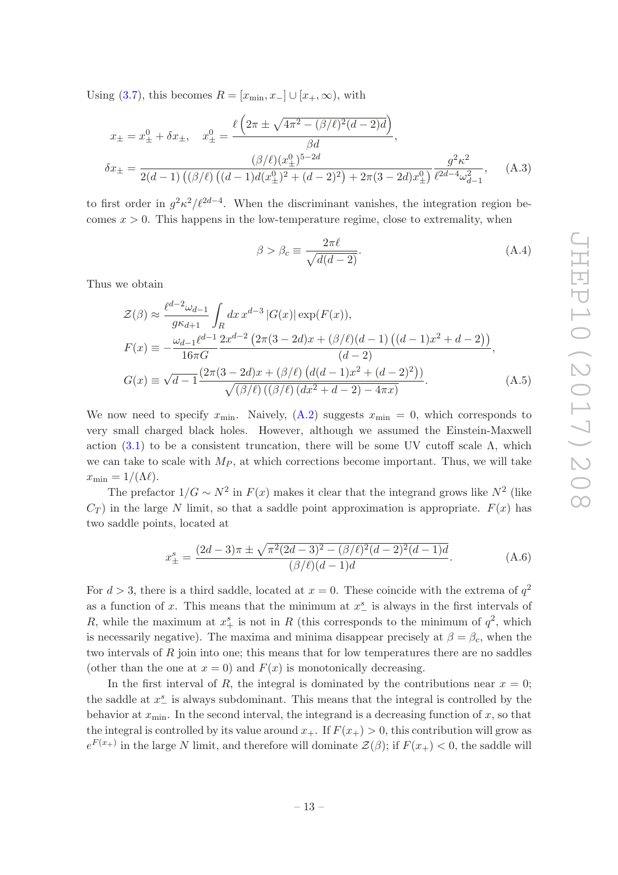Using [\(3.7\)](#page-6-5), this becomes  $R = [x_{\min}, x_{-}] \cup [x_{+}, \infty)$ , with

$$
x_{\pm} = x_{\pm}^{0} + \delta x_{\pm}, \quad x_{\pm}^{0} = \frac{\ell \left(2\pi \pm \sqrt{4\pi^{2} - (\beta/\ell)^{2}(d-2)d}\right)}{\beta d},
$$

$$
\delta x_{\pm} = \frac{(\beta/\ell)(x_{\pm}^{0})^{5-2d}}{2(d-1)\left((\beta/\ell)\left((d-1)d(x_{\pm}^{0})^{2} + (d-2)^{2}\right) + 2\pi(3-2d)x_{\pm}^{0}\right)}\frac{g^{2}\kappa^{2}}{\ell^{2d-4}\omega_{d-1}^{2}}, \quad (A.3)
$$

to first order in  $g^2 \kappa^2 / \ell^{2d-4}$ . When the discriminant vanishes, the integration region becomes  $x > 0$ . This happens in the low-temperature regime, close to extremality, when

$$
\beta > \beta_c \equiv \frac{2\pi\ell}{\sqrt{d(d-2)}}.\tag{A.4}
$$

Thus we obtain

$$
\mathcal{Z}(\beta) \approx \frac{\ell^{d-2}\omega_{d-1}}{g\kappa_{d+1}} \int_{R} dx \, x^{d-3} |G(x)| \exp(F(x)),
$$
\n
$$
F(x) \equiv -\frac{\omega_{d-1}\ell^{d-1}}{16\pi G} \frac{2x^{d-2} \left(2\pi (3 - 2d)x + (\beta/\ell)(d-1)\left((d-1)x^2 + d - 2\right)\right)}{(d-2)},
$$
\n
$$
G(x) \equiv \sqrt{d-1} \frac{\left(2\pi (3 - 2d)x + (\beta/\ell)\left(d(d-1)x^2 + (d-2)^2\right)\right)}{\sqrt{(\beta/\ell)\left((\beta/\ell)\left(dx^2 + d - 2\right) - 4\pi x\right)}}.
$$
\n(A.5)

We now need to specify  $x_{\text{min}}$ . Naively,  $(A.2)$  suggests  $x_{\text{min}} = 0$ , which corresponds to very small charged black holes. However, although we assumed the Einstein-Maxwell action [\(3.1\)](#page-5-1) to be a consistent truncation, there will be some UV cutoff scale  $\Lambda$ , which we can take to scale with  $M_P$ , at which corrections become important. Thus, we will take  $x_{\min} = 1/(\Lambda \ell).$ 

The prefactor  $1/G \sim N^2$  in  $F(x)$  makes it clear that the integrand grows like  $N^2$  (like  $C_T$ ) in the large N limit, so that a saddle point approximation is appropriate.  $F(x)$  has two saddle points, located at

$$
x_{\pm}^{s} = \frac{(2d-3)\pi \pm \sqrt{\pi^{2}(2d-3)^{2} - (\beta/\ell)^{2}(d-2)^{2}(d-1)d}}{(\beta/\ell)(d-1)d}.
$$
 (A.6)

For  $d > 3$ , there is a third saddle, located at  $x = 0$ . These coincide with the extrema of  $q<sup>2</sup>$ as a function of x. This means that the minimum at  $x_{-}^{s}$  is always in the first intervals of R, while the maximum at  $x_+^s$  is not in R (this corresponds to the minimum of  $q^2$ , which is necessarily negative). The maxima and minima disappear precisely at  $\beta = \beta_c$ , when the two intervals of R join into one; this means that for low temperatures there are no saddles (other than the one at  $x = 0$ ) and  $F(x)$  is monotonically decreasing.

In the first interval of R, the integral is dominated by the contributions near  $x = 0$ ; the saddle at  $x_{-}^{s}$  is always subdominant. This means that the integral is controlled by the behavior at  $x_{\min}$ . In the second interval, the integrand is a decreasing function of x, so that the integral is controlled by its value around  $x_+$ . If  $F(x_+) > 0$ , this contribution will grow as  $e^{F(x_+)}$  in the large N limit, and therefore will dominate  $\mathcal{Z}(\beta)$ ; if  $F(x_+) < 0$ , the saddle will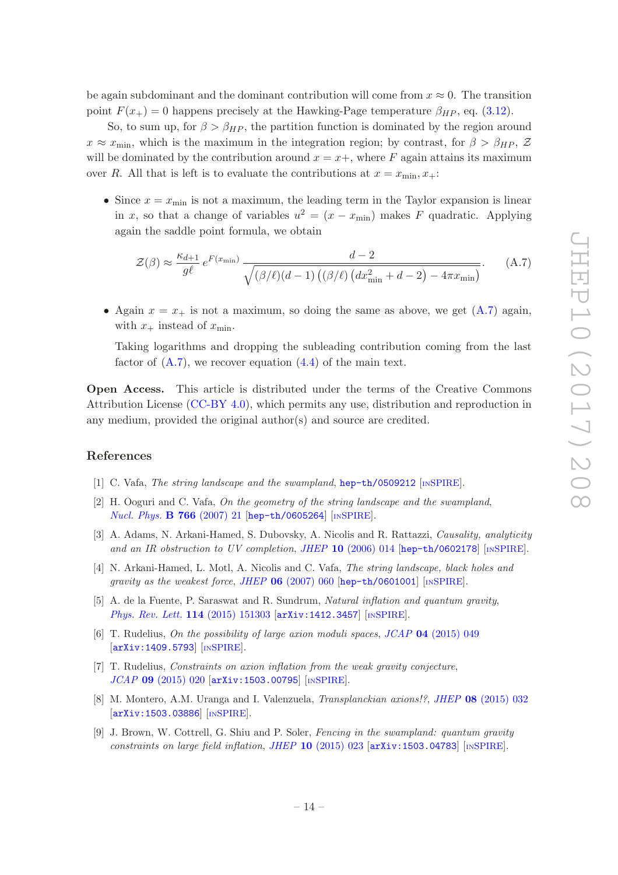be again subdominant and the dominant contribution will come from  $x \approx 0$ . The transition point  $F(x_{+}) = 0$  happens precisely at the Hawking-Page temperature  $\beta_{HP}$ , eq. [\(3.12\)](#page-8-3).

So, to sum up, for  $\beta > \beta_{HP}$ , the partition function is dominated by the region around  $x \approx x_{\text{min}}$ , which is the maximum in the integration region; by contrast, for  $\beta > \beta_{HP}$ , Z will be dominated by the contribution around  $x = x +$ , where F again attains its maximum over R. All that is left is to evaluate the contributions at  $x = x_{\min}, x_+$ :

• Since  $x = x_{\text{min}}$  is not a maximum, the leading term in the Taylor expansion is linear in x, so that a change of variables  $u^2 = (x - x_{\text{min}})$  makes F quadratic. Applying again the saddle point formula, we obtain

<span id="page-14-4"></span>
$$
\mathcal{Z}(\beta) \approx \frac{\kappa_{d+1}}{g\ell} e^{F(x_{\min})} \frac{d-2}{\sqrt{(\beta/\ell)(d-1)\left((\beta/\ell)\left(dx_{\min}^2 + d - 2\right) - 4\pi x_{\min}\right)}}. \tag{A.7}
$$

• Again  $x = x_+$  is not a maximum, so doing the same as above, we get  $(A.7)$  again, with  $x_+$  instead of  $x_{\min}$ .

Taking logarithms and dropping the subleading contribution coming from the last factor of  $(A.7)$ , we recover equation  $(4.4)$  of the main text.

Open Access. This article is distributed under the terms of the Creative Commons Attribution License [\(CC-BY 4.0\)](https://creativecommons.org/licenses/by/4.0/), which permits any use, distribution and reproduction in any medium, provided the original author(s) and source are credited.

#### References

- <span id="page-14-0"></span>[1] C. Vafa, The string landscape and the swampland, [hep-th/0509212](https://arxiv.org/abs/hep-th/0509212) [IN[SPIRE](https://inspirehep.net/search?p=find+EPRINT+hep-th/0509212)].
- [2] H. Ooguri and C. Vafa, On the geometry of the string landscape and the swampland, [Nucl. Phys.](https://doi.org/10.1016/j.nuclphysb.2006.10.033) B 766 (2007) 21 [[hep-th/0605264](https://arxiv.org/abs/hep-th/0605264)] [IN[SPIRE](https://inspirehep.net/search?p=find+EPRINT+hep-th/0605264)].
- <span id="page-14-1"></span>[3] A. Adams, N. Arkani-Hamed, S. Dubovsky, A. Nicolis and R. Rattazzi, *Causality, analyticity* and an IR obstruction to UV completion, JHEP 10 [\(2006\) 014](https://doi.org/10.1088/1126-6708/2006/10/014) [[hep-th/0602178](https://arxiv.org/abs/hep-th/0602178)] [IN[SPIRE](https://inspirehep.net/search?p=find+EPRINT+hep-th/0602178)].
- <span id="page-14-2"></span>[4] N. Arkani-Hamed, L. Motl, A. Nicolis and C. Vafa, The string landscape, black holes and gravity as the weakest force, JHEP  $06$  [\(2007\) 060](https://doi.org/10.1088/1126-6708/2007/06/060) [[hep-th/0601001](https://arxiv.org/abs/hep-th/0601001)] [IN[SPIRE](https://inspirehep.net/search?p=find+EPRINT+hep-th/0601001)].
- <span id="page-14-3"></span>[5] A. de la Fuente, P. Saraswat and R. Sundrum, Natural inflation and quantum gravity, [Phys. Rev. Lett.](https://doi.org/10.1103/PhysRevLett.114.151303) 114 (2015) 151303 [[arXiv:1412.3457](https://arxiv.org/abs/1412.3457)] [IN[SPIRE](https://inspirehep.net/search?p=find+EPRINT+arXiv:1412.3457)].
- [6] T. Rudelius, On the possibility of large axion moduli spaces, JCAP 04 [\(2015\) 049](https://doi.org/10.1088/1475-7516/2015/04/049) [[arXiv:1409.5793](https://arxiv.org/abs/1409.5793)] [IN[SPIRE](https://inspirehep.net/search?p=find+EPRINT+arXiv:1409.5793)].
- [7] T. Rudelius, *Constraints on axion inflation from the weak gravity conjecture*,  $JCAP$  09 [\(2015\) 020](https://doi.org/10.1088/1475-7516/2015/09/020) [[arXiv:1503.00795](https://arxiv.org/abs/1503.00795)] [IN[SPIRE](https://inspirehep.net/search?p=find+EPRINT+arXiv:1503.00795)].
- [8] M. Montero, A.M. Uranga and I. Valenzuela, Transplanckian axions!?, JHEP 08 [\(2015\) 032](https://doi.org/10.1007/JHEP08(2015)032) [[arXiv:1503.03886](https://arxiv.org/abs/1503.03886)] [IN[SPIRE](https://inspirehep.net/search?p=find+EPRINT+arXiv:1503.03886)].
- [9] J. Brown, W. Cottrell, G. Shiu and P. Soler, Fencing in the swampland: quantum gravity constraints on large field inflation, JHEP  $10$  [\(2015\) 023](https://doi.org/10.1007/JHEP10(2015)023) [[arXiv:1503.04783](https://arxiv.org/abs/1503.04783)] [IN[SPIRE](https://inspirehep.net/search?p=find+EPRINT+arXiv:1503.04783)].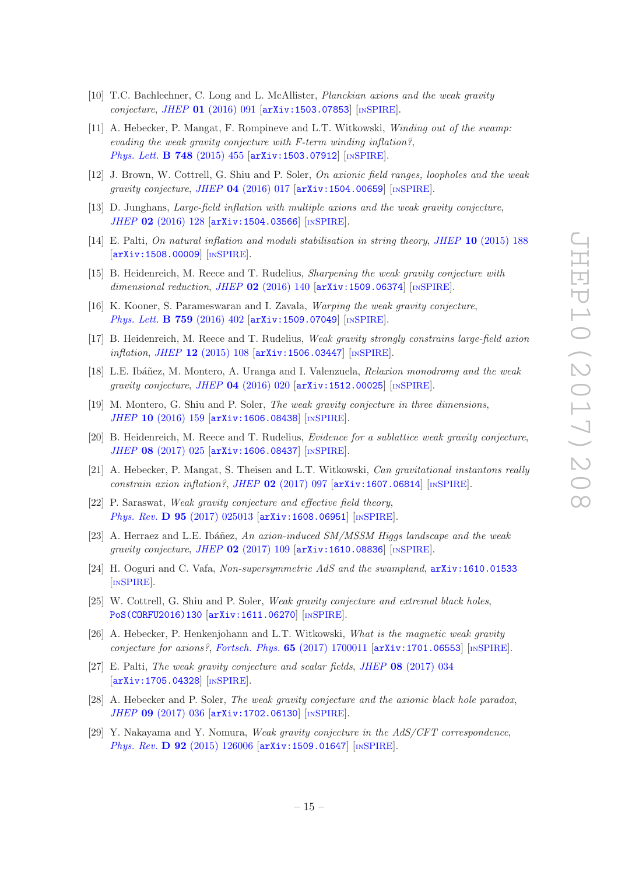- [10] T.C. Bachlechner, C. Long and L. McAllister, Planckian axions and the weak gravity conjecture, JHEP 01 [\(2016\) 091](https://doi.org/10.1007/JHEP01(2016)091) [[arXiv:1503.07853](https://arxiv.org/abs/1503.07853)] [IN[SPIRE](https://inspirehep.net/search?p=find+EPRINT+arXiv:1503.07853)].
- [11] A. Hebecker, P. Mangat, F. Rompineve and L.T. Witkowski, Winding out of the swamp: evading the weak gravity conjecture with F-term winding inflation?, [Phys. Lett.](https://doi.org/10.1016/j.physletb.2015.07.026) **B 748** (2015) 455 [[arXiv:1503.07912](https://arxiv.org/abs/1503.07912)] [IN[SPIRE](https://inspirehep.net/search?p=find+EPRINT+arXiv:1503.07912)].
- [12] J. Brown, W. Cottrell, G. Shiu and P. Soler, On axionic field ranges, loopholes and the weak qravity conjecture, JHEP  $04$  [\(2016\) 017](https://doi.org/10.1007/JHEP04(2016)017)  $\left[$ [arXiv:1504.00659](https://arxiv.org/abs/1504.00659) $\right]$   $\left[$ IN[SPIRE](https://inspirehep.net/search?p=find+EPRINT+arXiv:1504.00659) $\right]$ .
- [13] D. Junghans, Large-field inflation with multiple axions and the weak gravity conjecture, JHEP 02 [\(2016\) 128](https://doi.org/10.1007/JHEP02(2016)128) [[arXiv:1504.03566](https://arxiv.org/abs/1504.03566)] [IN[SPIRE](https://inspirehep.net/search?p=find+EPRINT+arXiv:1504.03566)].
- [14] E. Palti, On natural inflation and moduli stabilisation in string theory, JHEP 10 [\(2015\) 188](https://doi.org/10.1007/JHEP10(2015)188) [[arXiv:1508.00009](https://arxiv.org/abs/1508.00009)] [IN[SPIRE](https://inspirehep.net/search?p=find+EPRINT+arXiv:1508.00009)].
- <span id="page-15-8"></span>[15] B. Heidenreich, M. Reece and T. Rudelius, Sharpening the weak gravity conjecture with dimensional reduction, JHEP  $02$  [\(2016\) 140](https://doi.org/10.1007/JHEP02(2016)140)  $\text{arXiv:1509.06374}$  $\text{arXiv:1509.06374}$  $\text{arXiv:1509.06374}$  [IN[SPIRE](https://inspirehep.net/search?p=find+EPRINT+arXiv:1509.06374)].
- [16] K. Kooner, S. Parameswaran and I. Zavala, Warping the weak gravity conjecture, [Phys. Lett.](https://doi.org/10.1016/j.physletb.2016.05.082) **B 759** (2016) 402 [[arXiv:1509.07049](https://arxiv.org/abs/1509.07049)] [IN[SPIRE](https://inspirehep.net/search?p=find+EPRINT+arXiv:1509.07049)].
- [17] B. Heidenreich, M. Reece and T. Rudelius, Weak gravity strongly constrains large-field axion inflation, JHEP 12 [\(2015\) 108](https://doi.org/10.1007/JHEP12(2015)108) [[arXiv:1506.03447](https://arxiv.org/abs/1506.03447)] [IN[SPIRE](https://inspirehep.net/search?p=find+EPRINT+arXiv:1506.03447)].
- [18] L.E. Ibáñez, M. Montero, A. Uranga and I. Valenzuela, *Relaxion monodromy and the weak* gravity conjecture, JHEP  $04$  [\(2016\) 020](https://doi.org/10.1007/JHEP04(2016)020)  $\text{arXiv:1512.00025}$  $\text{arXiv:1512.00025}$  $\text{arXiv:1512.00025}$  [IN[SPIRE](https://inspirehep.net/search?p=find+EPRINT+arXiv:1512.00025)].
- <span id="page-15-3"></span>[19] M. Montero, G. Shiu and P. Soler, The weak gravity conjecture in three dimensions, JHEP 10 [\(2016\) 159](https://doi.org/10.1007/JHEP10(2016)159) [[arXiv:1606.08438](https://arxiv.org/abs/1606.08438)] [IN[SPIRE](https://inspirehep.net/search?p=find+EPRINT+arXiv:1606.08438)].
- <span id="page-15-4"></span>[20] B. Heidenreich, M. Reece and T. Rudelius, Evidence for a sublattice weak gravity conjecture, JHEP 08 [\(2017\) 025](https://doi.org/10.1007/JHEP08(2017)025) [[arXiv:1606.08437](https://arxiv.org/abs/1606.08437)] [IN[SPIRE](https://inspirehep.net/search?p=find+EPRINT+arXiv:1606.08437)].
- [21] A. Hebecker, P. Mangat, S. Theisen and L.T. Witkowski, Can gravitational instantons really constrain axion inflation?, JHEP  $02$  [\(2017\) 097](https://doi.org/10.1007/JHEP02(2017)097)  $\text{arXiv:1607.06814}$  $\text{arXiv:1607.06814}$  $\text{arXiv:1607.06814}$  [IN[SPIRE](https://inspirehep.net/search?p=find+EPRINT+arXiv:1607.06814)].
- <span id="page-15-6"></span>[22] P. Saraswat, Weak gravity conjecture and effective field theory, Phys. Rev. D 95 [\(2017\) 025013](https://doi.org/10.1103/PhysRevD.95.025013) [[arXiv:1608.06951](https://arxiv.org/abs/1608.06951)] [IN[SPIRE](https://inspirehep.net/search?p=find+EPRINT+arXiv:1608.06951)].
- [23] A. Herraez and L.E. Ibáñez, An axion-induced  $SM/MSSM$  Higgs landscape and the weak gravity conjecture, JHEP  $02$  [\(2017\) 109](https://doi.org/10.1007/JHEP02(2017)109)  $\text{arXiv:1610.08836}$  $\text{arXiv:1610.08836}$  $\text{arXiv:1610.08836}$  [IN[SPIRE](https://inspirehep.net/search?p=find+EPRINT+arXiv:1610.08836)].
- <span id="page-15-7"></span>[24] H. Ooguri and C. Vafa, Non-supersymmetric AdS and the swampland,  $arXiv:1610.01533$ [IN[SPIRE](https://inspirehep.net/search?p=find+EPRINT+arXiv:1610.01533)].
- [25] W. Cottrell, G. Shiu and P. Soler, Weak gravity conjecture and extremal black holes, [PoS\(CORFU2016\)130](https://pos.sissa.it/contribution?id=PoS(CORFU2016)130) [[arXiv:1611.06270](https://arxiv.org/abs/1611.06270)] [IN[SPIRE](https://inspirehep.net/search?p=find+EPRINT+arXiv:1611.06270)].
- <span id="page-15-0"></span>[26] A. Hebecker, P. Henkenjohann and L.T. Witkowski, What is the magnetic weak gravity conjecture for axions?, Fortsch. Phys.  $65$  [\(2017\) 1700011](https://doi.org/10.1002/prop.201700011) [[arXiv:1701.06553](https://arxiv.org/abs/1701.06553)] [IN[SPIRE](https://inspirehep.net/search?p=find+EPRINT+arXiv:1701.06553)].
- <span id="page-15-1"></span>[27] E. Palti, The weak gravity conjecture and scalar fields, JHEP 08 [\(2017\) 034](https://doi.org/10.1007/JHEP08(2017)034) [[arXiv:1705.04328](https://arxiv.org/abs/1705.04328)] [IN[SPIRE](https://inspirehep.net/search?p=find+EPRINT+arXiv:1705.04328)].
- <span id="page-15-2"></span>[28] A. Hebecker and P. Soler, The weak gravity conjecture and the axionic black hole paradox, JHEP 09 [\(2017\) 036](https://doi.org/10.1007/JHEP09(2017)036) [[arXiv:1702.06130](https://arxiv.org/abs/1702.06130)] [IN[SPIRE](https://inspirehep.net/search?p=find+EPRINT+arXiv:1702.06130)].
- <span id="page-15-5"></span>[29] Y. Nakayama and Y. Nomura, Weak gravity conjecture in the AdS/CFT correspondence, Phys. Rev. **D 92** [\(2015\) 126006](https://doi.org/10.1103/PhysRevD.92.126006) [[arXiv:1509.01647](https://arxiv.org/abs/1509.01647)] [IN[SPIRE](https://inspirehep.net/search?p=find+EPRINT+arXiv:1509.01647)].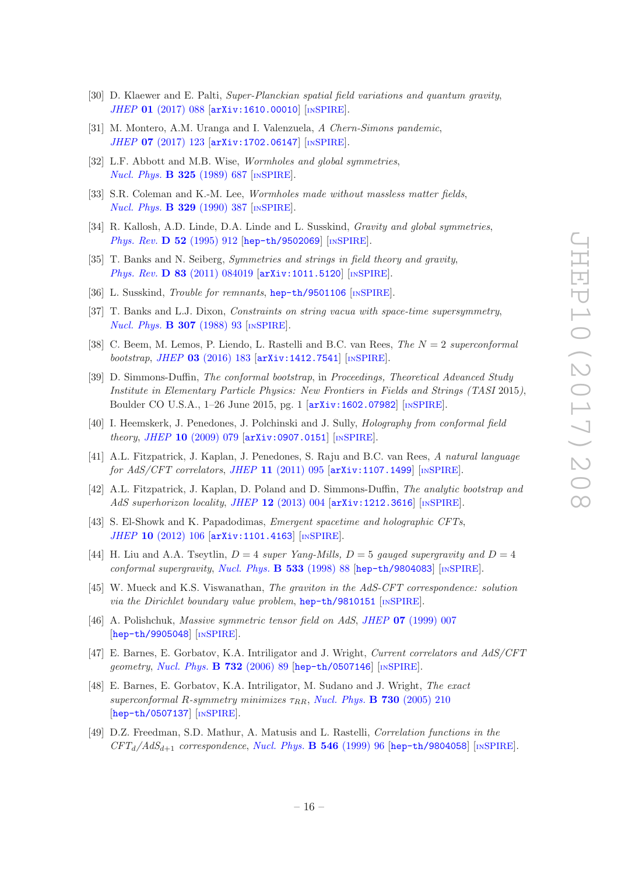- <span id="page-16-0"></span>[30] D. Klaewer and E. Palti, Super-Planckian spatial field variations and quantum gravity, JHEP 01 [\(2017\) 088](https://doi.org/10.1007/JHEP01(2017)088) [[arXiv:1610.00010](https://arxiv.org/abs/1610.00010)] [IN[SPIRE](https://inspirehep.net/search?p=find+EPRINT+arXiv:1610.00010)].
- <span id="page-16-1"></span>[31] M. Montero, A.M. Uranga and I. Valenzuela, A Chern-Simons pandemic, JHEP 07 [\(2017\) 123](https://doi.org/10.1007/JHEP07(2017)123) [[arXiv:1702.06147](https://arxiv.org/abs/1702.06147)] [IN[SPIRE](https://inspirehep.net/search?p=find+EPRINT+arXiv:1702.06147)].
- <span id="page-16-2"></span>[32] L.F. Abbott and M.B. Wise, *Wormholes and global symmetries*, [Nucl. Phys.](https://doi.org/10.1016/0550-3213(89)90503-8) **B 325** (1989) 687 [IN[SPIRE](https://inspirehep.net/search?p=find+J+%22Nucl.Phys.,B325,687%22)].
- [33] S.R. Coleman and K.-M. Lee, *Wormholes made without massless matter fields*, [Nucl. Phys.](https://doi.org/10.1016/0550-3213(90)90149-8) **B 329** (1990) 387 [IN[SPIRE](https://inspirehep.net/search?p=find+J+%22Nucl.Phys.,B329,387%22)].
- [34] R. Kallosh, A.D. Linde, D.A. Linde and L. Susskind, *Gravity and global symmetries*, [Phys. Rev.](https://doi.org/10.1103/PhysRevD.52.912) **D 52** (1995) 912 [[hep-th/9502069](https://arxiv.org/abs/hep-th/9502069)] [IN[SPIRE](https://inspirehep.net/search?p=find+EPRINT+hep-th/9502069)].
- <span id="page-16-3"></span>[35] T. Banks and N. Seiberg, Symmetries and strings in field theory and gravity, Phys. Rev. **D 83** [\(2011\) 084019](https://doi.org/10.1103/PhysRevD.83.084019) [[arXiv:1011.5120](https://arxiv.org/abs/1011.5120)] [IN[SPIRE](https://inspirehep.net/search?p=find+EPRINT+arXiv:1011.5120)].
- <span id="page-16-4"></span>[36] L. Susskind, *Trouble for remnants*, [hep-th/9501106](https://arxiv.org/abs/hep-th/9501106) [IN[SPIRE](https://inspirehep.net/search?p=find+EPRINT+hep-th/9501106)].
- <span id="page-16-5"></span>[37] T. Banks and L.J. Dixon, Constraints on string vacua with space-time supersymmetry, [Nucl. Phys.](https://doi.org/10.1016/0550-3213(88)90523-8) **B 307** (1988) 93 [IN[SPIRE](https://inspirehep.net/search?p=find+J+%22Nucl.Phys.,B307,93%22)].
- <span id="page-16-6"></span>[38] C. Beem, M. Lemos, P. Liendo, L. Rastelli and B.C. van Rees, The N = 2 superconformal  $bootstrap, JHEP$  03 [\(2016\) 183](https://doi.org/10.1007/JHEP03(2016)183)  $[arXiv:1412.7541] [$  $[arXiv:1412.7541] [$  $[arXiv:1412.7541] [$ IN[SPIRE](https://inspirehep.net/search?p=find+EPRINT+arXiv:1412.7541)].
- <span id="page-16-7"></span>[39] D. Simmons-Duffin, The conformal bootstrap, in Proceedings, Theoretical Advanced Study Institute in Elementary Particle Physics: New Frontiers in Fields and Strings (TASI 2015), Boulder CO U.S.A., 1–26 June 2015, pg. 1 [[arXiv:1602.07982](https://arxiv.org/abs/1602.07982)] [IN[SPIRE](https://inspirehep.net/search?p=find+EPRINT+arXiv:1602.07982)].
- <span id="page-16-8"></span>[40] I. Heemskerk, J. Penedones, J. Polchinski and J. Sully, *Holography from conformal field* theory, JHEP 10 [\(2009\) 079](https://doi.org/10.1088/1126-6708/2009/10/079) [[arXiv:0907.0151](https://arxiv.org/abs/0907.0151)] [IN[SPIRE](https://inspirehep.net/search?p=find+EPRINT+arXiv:0907.0151)].
- [41] A.L. Fitzpatrick, J. Kaplan, J. Penedones, S. Raju and B.C. van Rees, A natural language for AdS/CFT correlators, JHEP 11 [\(2011\) 095](https://doi.org/10.1007/JHEP11(2011)095) [[arXiv:1107.1499](https://arxiv.org/abs/1107.1499)] [IN[SPIRE](https://inspirehep.net/search?p=find+EPRINT+arXiv:1107.1499)].
- <span id="page-16-9"></span>[42] A.L. Fitzpatrick, J. Kaplan, D. Poland and D. Simmons-Duffin, The analytic bootstrap and AdS superhorizon locality, JHEP  $12$  [\(2013\) 004](https://doi.org/10.1007/JHEP12(2013)004)  $\text{arXiv:1212.3616}$  $\text{arXiv:1212.3616}$  $\text{arXiv:1212.3616}$  [IN[SPIRE](https://inspirehep.net/search?p=find+EPRINT+arXiv:1212.3616)].
- <span id="page-16-10"></span>[43] S. El-Showk and K. Papadodimas, *Emergent spacetime and holographic CFTs*, JHEP 10 [\(2012\) 106](https://doi.org/10.1007/JHEP10(2012)106) [[arXiv:1101.4163](https://arxiv.org/abs/1101.4163)] [IN[SPIRE](https://inspirehep.net/search?p=find+EPRINT+arXiv:1101.4163)].
- <span id="page-16-11"></span>[44] H. Liu and A.A. Tseytlin,  $D = 4$  super Yang-Mills,  $D = 5$  gauged supergravity and  $D = 4$ conformal supergravity, [Nucl. Phys.](https://doi.org/10.1016/S0550-3213(98)00443-X) B 533 (1998) 88 [[hep-th/9804083](https://arxiv.org/abs/hep-th/9804083)] [IN[SPIRE](https://inspirehep.net/search?p=find+EPRINT+hep-th/9804083)].
- <span id="page-16-13"></span>[45] W. Mueck and K.S. Viswanathan, The graviton in the AdS-CFT correspondence: solution via the Dirichlet boundary value problem, [hep-th/9810151](https://arxiv.org/abs/hep-th/9810151) [IN[SPIRE](https://inspirehep.net/search?p=find+EPRINT+hep-th/9810151)].
- <span id="page-16-12"></span>[46] A. Polishchuk, Massive symmetric tensor field on AdS, JHEP 07 [\(1999\) 007](https://doi.org/10.1088/1126-6708/1999/07/007) [[hep-th/9905048](https://arxiv.org/abs/hep-th/9905048)] [IN[SPIRE](https://inspirehep.net/search?p=find+EPRINT+hep-th/9905048)].
- <span id="page-16-14"></span>[47] E. Barnes, E. Gorbatov, K.A. Intriligator and J. Wright, Current correlators and AdS/CFT geometry, [Nucl. Phys.](https://doi.org/10.1016/j.nuclphysb.2005.10.013) **B 732** (2006) 89 [[hep-th/0507146](https://arxiv.org/abs/hep-th/0507146)] [IN[SPIRE](https://inspirehep.net/search?p=find+EPRINT+hep-th/0507146)].
- <span id="page-16-15"></span>[48] E. Barnes, E. Gorbatov, K.A. Intriligator, M. Sudano and J. Wright, The exact superconformal R-symmetry minimizes  $\tau_{RB}$ , [Nucl. Phys.](https://doi.org/10.1016/j.nuclphysb.2005.10.003) **B** 730 (2005) 210 [[hep-th/0507137](https://arxiv.org/abs/hep-th/0507137)] [IN[SPIRE](https://inspirehep.net/search?p=find+EPRINT+hep-th/0507137)].
- <span id="page-16-16"></span>[49] D.Z. Freedman, S.D. Mathur, A. Matusis and L. Rastelli, Correlation functions in the  $CFT_d/AdS_{d+1}$  correspondence, [Nucl. Phys.](https://doi.org/10.1016/S0550-3213(99)00053-X) **B 546** (1999) 96 [[hep-th/9804058](https://arxiv.org/abs/hep-th/9804058)] [IN[SPIRE](https://inspirehep.net/search?p=find+EPRINT+hep-th/9804058)].